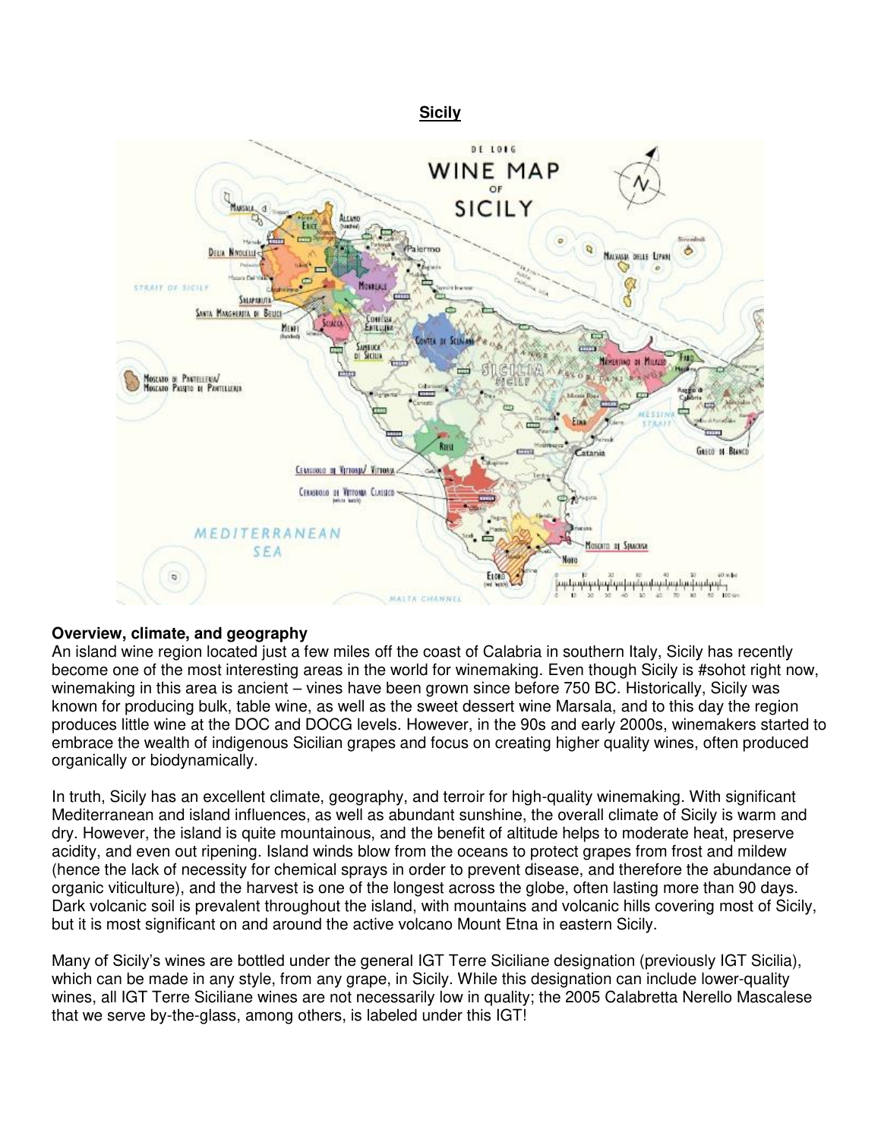



# **Overview, climate, and geography**

An island wine region located just a few miles off the coast of Calabria in southern Italy, Sicily has recently become one of the most interesting areas in the world for winemaking. Even though Sicily is #sohot right now, winemaking in this area is ancient – vines have been grown since before 750 BC. Historically, Sicily was known for producing bulk, table wine, as well as the sweet dessert wine Marsala, and to this day the region produces little wine at the DOC and DOCG levels. However, in the 90s and early 2000s, winemakers started to embrace the wealth of indigenous Sicilian grapes and focus on creating higher quality wines, often produced organically or biodynamically.

In truth, Sicily has an excellent climate, geography, and terroir for high-quality winemaking. With significant Mediterranean and island influences, as well as abundant sunshine, the overall climate of Sicily is warm and dry. However, the island is quite mountainous, and the benefit of altitude helps to moderate heat, preserve acidity, and even out ripening. Island winds blow from the oceans to protect grapes from frost and mildew (hence the lack of necessity for chemical sprays in order to prevent disease, and therefore the abundance of organic viticulture), and the harvest is one of the longest across the globe, often lasting more than 90 days. Dark volcanic soil is prevalent throughout the island, with mountains and volcanic hills covering most of Sicily, but it is most significant on and around the active volcano Mount Etna in eastern Sicily.

Many of Sicily's wines are bottled under the general IGT Terre Siciliane designation (previously IGT Sicilia), which can be made in any style, from any grape, in Sicily. While this designation can include lower-quality wines, all IGT Terre Siciliane wines are not necessarily low in quality; the 2005 Calabretta Nerello Mascalese that we serve by-the-glass, among others, is labeled under this IGT!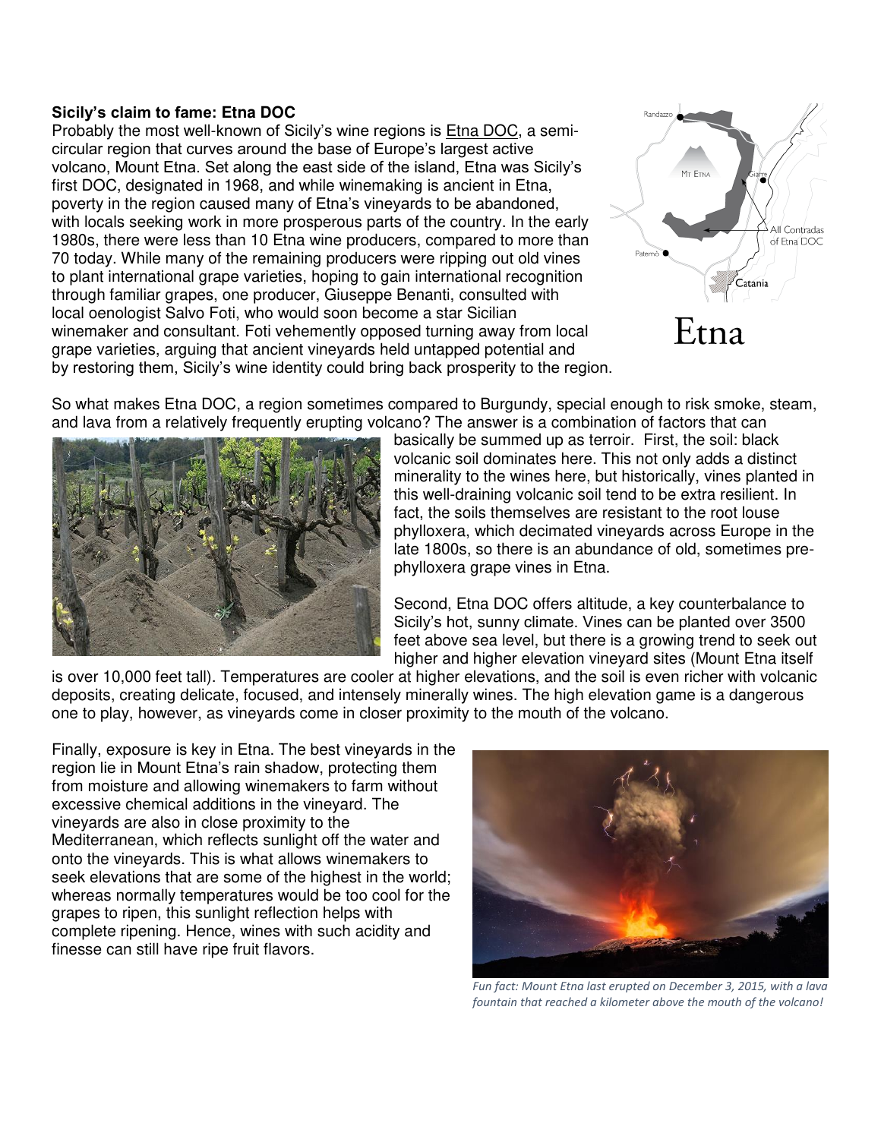#### **Sicily's claim to fame: Etna DOC**

Probably the most well-known of Sicily's wine regions is Etna DOC, a semicircular region that curves around the base of Europe's largest active volcano, Mount Etna. Set along the east side of the island, Etna was Sicily's first DOC, designated in 1968, and while winemaking is ancient in Etna, poverty in the region caused many of Etna's vineyards to be abandoned, with locals seeking work in more prosperous parts of the country. In the early 1980s, there were less than 10 Etna wine producers, compared to more than 70 today. While many of the remaining producers were ripping out old vines to plant international grape varieties, hoping to gain international recognition through familiar grapes, one producer, Giuseppe Benanti, consulted with local oenologist Salvo Foti, who would soon become a star Sicilian winemaker and consultant. Foti vehemently opposed turning away from local grape varieties, arguing that ancient vineyards held untapped potential and by restoring them, Sicily's wine identity could bring back prosperity to the region.



So what makes Etna DOC, a region sometimes compared to Burgundy, special enough to risk smoke, steam, and lava from a relatively frequently erupting volcano? The answer is a combination of factors that can



basically be summed up as terroir. First, the soil: black volcanic soil dominates here. This not only adds a distinct minerality to the wines here, but historically, vines planted in this well-draining volcanic soil tend to be extra resilient. In fact, the soils themselves are resistant to the root louse phylloxera, which decimated vineyards across Europe in the late 1800s, so there is an abundance of old, sometimes prephylloxera grape vines in Etna.

Second, Etna DOC offers altitude, a key counterbalance to Sicily's hot, sunny climate. Vines can be planted over 3500 feet above sea level, but there is a growing trend to seek out higher and higher elevation vineyard sites (Mount Etna itself

is over 10,000 feet tall). Temperatures are cooler at higher elevations, and the soil is even richer with volcanic deposits, creating delicate, focused, and intensely minerally wines. The high elevation game is a dangerous one to play, however, as vineyards come in closer proximity to the mouth of the volcano.

Finally, exposure is key in Etna. The best vineyards in the region lie in Mount Etna's rain shadow, protecting them from moisture and allowing winemakers to farm without excessive chemical additions in the vineyard. The vineyards are also in close proximity to the Mediterranean, which reflects sunlight off the water and onto the vineyards. This is what allows winemakers to seek elevations that are some of the highest in the world; whereas normally temperatures would be too cool for the grapes to ripen, this sunlight reflection helps with complete ripening. Hence, wines with such acidity and finesse can still have ripe fruit flavors.



 *Fun fact: Mount Etna last erupted on December 3, 2015, with a lava fountain that reached a kilometer above the mouth of the volcano!*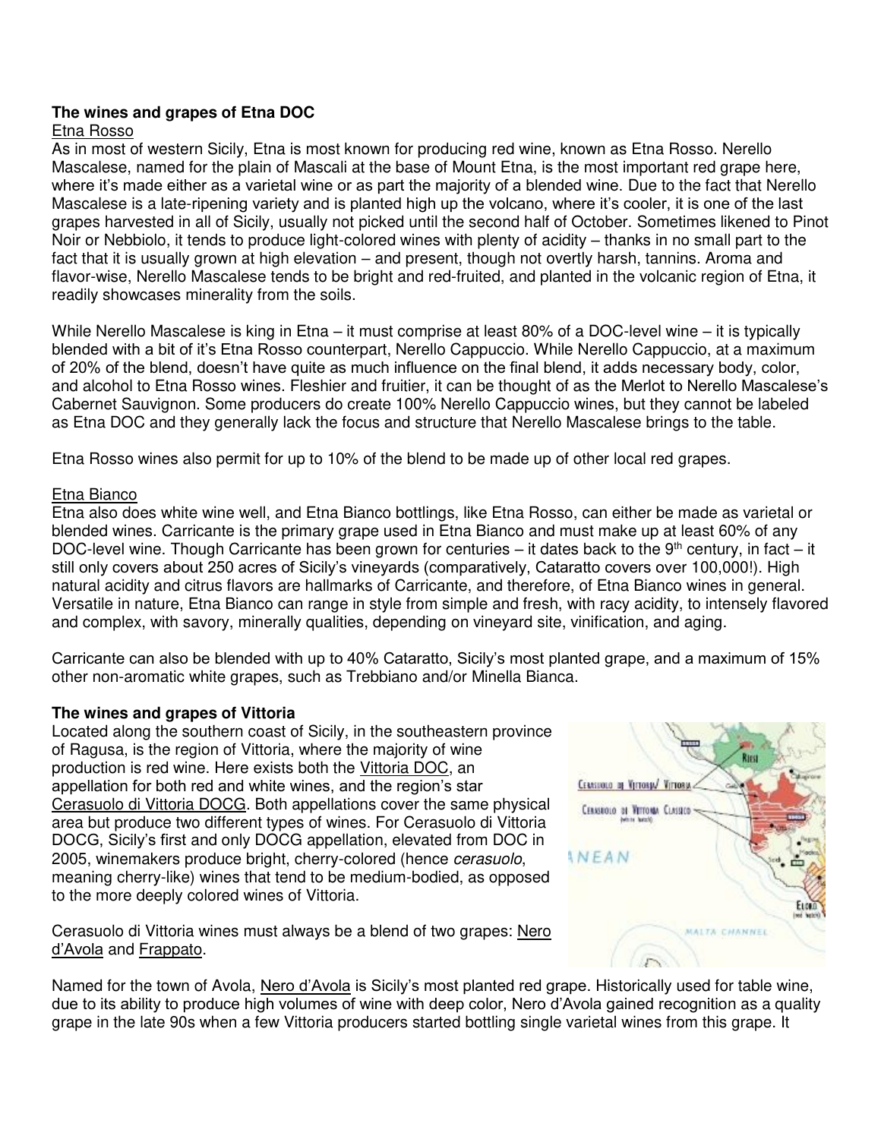## **The wines and grapes of Etna DOC**

#### Etna Rosso

As in most of western Sicily, Etna is most known for producing red wine, known as Etna Rosso. Nerello Mascalese, named for the plain of Mascali at the base of Mount Etna, is the most important red grape here, where it's made either as a varietal wine or as part the majority of a blended wine. Due to the fact that Nerello Mascalese is a late-ripening variety and is planted high up the volcano, where it's cooler, it is one of the last grapes harvested in all of Sicily, usually not picked until the second half of October. Sometimes likened to Pinot Noir or Nebbiolo, it tends to produce light-colored wines with plenty of acidity – thanks in no small part to the fact that it is usually grown at high elevation – and present, though not overtly harsh, tannins. Aroma and flavor-wise, Nerello Mascalese tends to be bright and red-fruited, and planted in the volcanic region of Etna, it readily showcases minerality from the soils.

While Nerello Mascalese is king in Etna – it must comprise at least 80% of a DOC-level wine – it is typically blended with a bit of it's Etna Rosso counterpart, Nerello Cappuccio. While Nerello Cappuccio, at a maximum of 20% of the blend, doesn't have quite as much influence on the final blend, it adds necessary body, color, and alcohol to Etna Rosso wines. Fleshier and fruitier, it can be thought of as the Merlot to Nerello Mascalese's Cabernet Sauvignon. Some producers do create 100% Nerello Cappuccio wines, but they cannot be labeled as Etna DOC and they generally lack the focus and structure that Nerello Mascalese brings to the table.

Etna Rosso wines also permit for up to 10% of the blend to be made up of other local red grapes.

#### Etna Bianco

Etna also does white wine well, and Etna Bianco bottlings, like Etna Rosso, can either be made as varietal or blended wines. Carricante is the primary grape used in Etna Bianco and must make up at least 60% of any DOC-level wine. Though Carricante has been grown for centuries – it dates back to the  $9<sup>th</sup>$  century, in fact – it still only covers about 250 acres of Sicily's vineyards (comparatively, Cataratto covers over 100,000!). High natural acidity and citrus flavors are hallmarks of Carricante, and therefore, of Etna Bianco wines in general. Versatile in nature, Etna Bianco can range in style from simple and fresh, with racy acidity, to intensely flavored and complex, with savory, minerally qualities, depending on vineyard site, vinification, and aging.

Carricante can also be blended with up to 40% Cataratto, Sicily's most planted grape, and a maximum of 15% other non-aromatic white grapes, such as Trebbiano and/or Minella Bianca.

### **The wines and grapes of Vittoria**

Located along the southern coast of Sicily, in the southeastern province of Ragusa, is the region of Vittoria, where the majority of wine production is red wine. Here exists both the Vittoria DOC, an appellation for both red and white wines, and the region's star Cerasuolo di Vittoria DOCG. Both appellations cover the same physical area but produce two different types of wines. For Cerasuolo di Vittoria DOCG, Sicily's first and only DOCG appellation, elevated from DOC in 2005, winemakers produce bright, cherry-colored (hence *cerasuolo*, meaning cherry-like) wines that tend to be medium-bodied, as opposed to the more deeply colored wines of Vittoria.

Cerasuolo di Vittoria wines must always be a blend of two grapes: Nero d'Avola and Frappato.

CERNIFOLD OF VITTORIA VITTORIA Секаноло от Уртона Слоясо ANEAN CHANNEL

Named for the town of Avola, Nero d'Avola is Sicily's most planted red grape. Historically used for table wine, due to its ability to produce high volumes of wine with deep color, Nero d'Avola gained recognition as a quality grape in the late 90s when a few Vittoria producers started bottling single varietal wines from this grape. It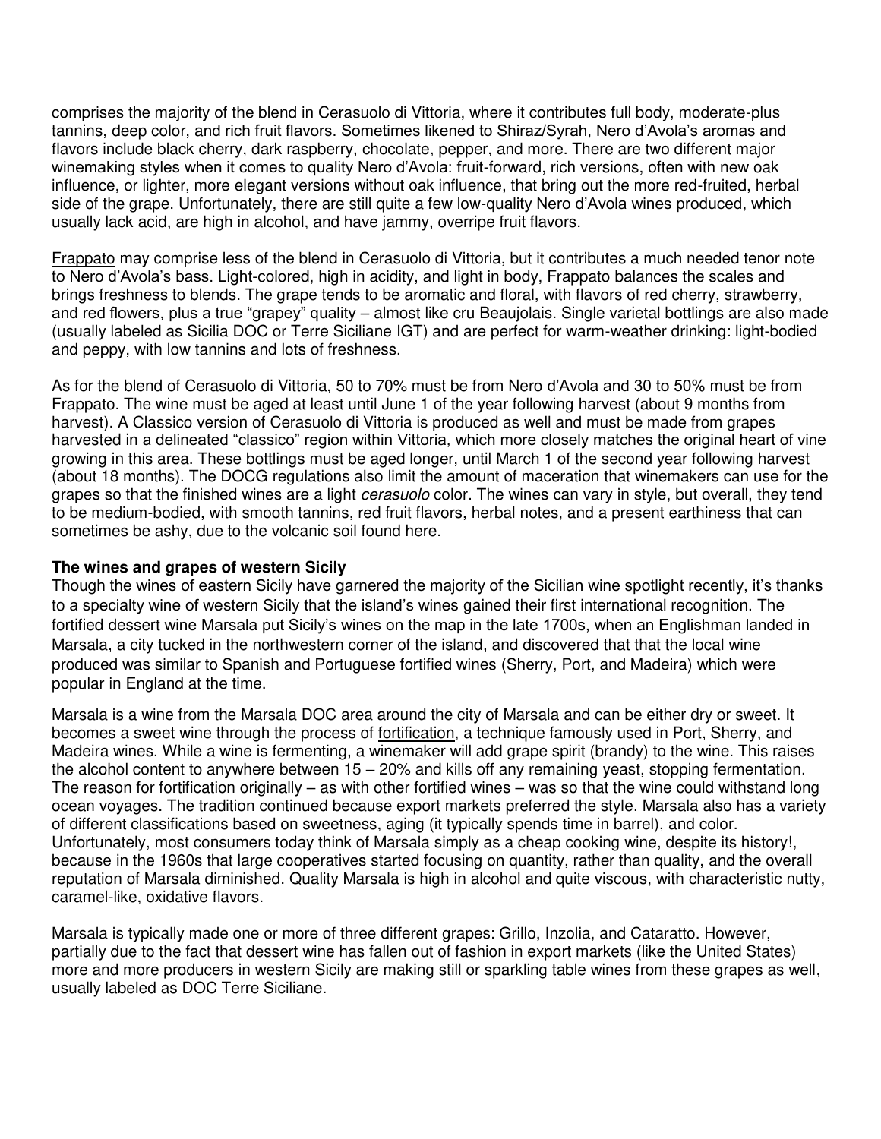comprises the majority of the blend in Cerasuolo di Vittoria, where it contributes full body, moderate-plus tannins, deep color, and rich fruit flavors. Sometimes likened to Shiraz/Syrah, Nero d'Avola's aromas and flavors include black cherry, dark raspberry, chocolate, pepper, and more. There are two different major winemaking styles when it comes to quality Nero d'Avola: fruit-forward, rich versions, often with new oak influence, or lighter, more elegant versions without oak influence, that bring out the more red-fruited, herbal side of the grape. Unfortunately, there are still quite a few low-quality Nero d'Avola wines produced, which usually lack acid, are high in alcohol, and have jammy, overripe fruit flavors.

Frappato may comprise less of the blend in Cerasuolo di Vittoria, but it contributes a much needed tenor note to Nero d'Avola's bass. Light-colored, high in acidity, and light in body, Frappato balances the scales and brings freshness to blends. The grape tends to be aromatic and floral, with flavors of red cherry, strawberry, and red flowers, plus a true "grapey" quality – almost like cru Beaujolais. Single varietal bottlings are also made (usually labeled as Sicilia DOC or Terre Siciliane IGT) and are perfect for warm-weather drinking: light-bodied and peppy, with low tannins and lots of freshness.

As for the blend of Cerasuolo di Vittoria, 50 to 70% must be from Nero d'Avola and 30 to 50% must be from Frappato. The wine must be aged at least until June 1 of the year following harvest (about 9 months from harvest). A Classico version of Cerasuolo di Vittoria is produced as well and must be made from grapes harvested in a delineated "classico" region within Vittoria, which more closely matches the original heart of vine growing in this area. These bottlings must be aged longer, until March 1 of the second year following harvest (about 18 months). The DOCG regulations also limit the amount of maceration that winemakers can use for the grapes so that the finished wines are a light *cerasuolo* color. The wines can vary in style, but overall, they tend to be medium-bodied, with smooth tannins, red fruit flavors, herbal notes, and a present earthiness that can sometimes be ashy, due to the volcanic soil found here.

#### **The wines and grapes of western Sicily**

Though the wines of eastern Sicily have garnered the majority of the Sicilian wine spotlight recently, it's thanks to a specialty wine of western Sicily that the island's wines gained their first international recognition. The fortified dessert wine Marsala put Sicily's wines on the map in the late 1700s, when an Englishman landed in Marsala, a city tucked in the northwestern corner of the island, and discovered that that the local wine produced was similar to Spanish and Portuguese fortified wines (Sherry, Port, and Madeira) which were popular in England at the time.

Marsala is a wine from the Marsala DOC area around the city of Marsala and can be either dry or sweet. It becomes a sweet wine through the process of fortification, a technique famously used in Port, Sherry, and Madeira wines. While a wine is fermenting, a winemaker will add grape spirit (brandy) to the wine. This raises the alcohol content to anywhere between 15 – 20% and kills off any remaining yeast, stopping fermentation. The reason for fortification originally – as with other fortified wines – was so that the wine could withstand long ocean voyages. The tradition continued because export markets preferred the style. Marsala also has a variety of different classifications based on sweetness, aging (it typically spends time in barrel), and color. Unfortunately, most consumers today think of Marsala simply as a cheap cooking wine, despite its history!, because in the 1960s that large cooperatives started focusing on quantity, rather than quality, and the overall reputation of Marsala diminished. Quality Marsala is high in alcohol and quite viscous, with characteristic nutty, caramel-like, oxidative flavors.

Marsala is typically made one or more of three different grapes: Grillo, Inzolia, and Cataratto. However, partially due to the fact that dessert wine has fallen out of fashion in export markets (like the United States) more and more producers in western Sicily are making still or sparkling table wines from these grapes as well, usually labeled as DOC Terre Siciliane.